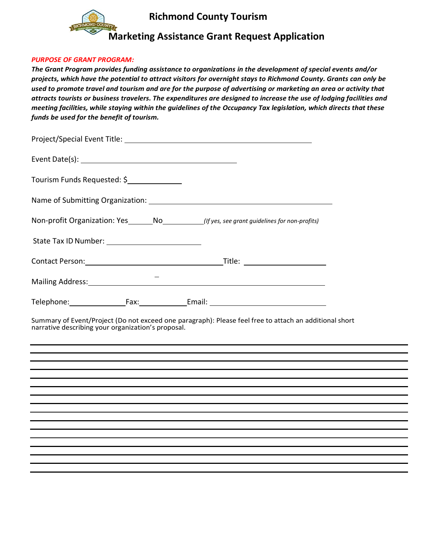

# **Richmond County Tourism**

# **Marketing Assistance Grant Request Application**

#### *PURPOSE OF GRANT PROGRAM:*

*The Grant Program provides funding assistance to organizations in the development of special events and/or projects, which have the potential to attract visitors for overnight stays to Richmond County. Grants can only be used to promote travel and tourism and are for the purpose of advertising or marketing an area or activity that attracts tourists or business travelers. The expenditures are designed to increase the use of lodging facilities and meeting facilities, while staying within the guidelines of the Occupancy Tax legislation, which directs that these funds be used for the benefit of tourism.* 

| Tourism Funds Requested: \$ |                                                                                                                |
|-----------------------------|----------------------------------------------------------------------------------------------------------------|
|                             |                                                                                                                |
|                             | Non-profit Organization: Yes________No_____________(If yes, see grant guidelines for non-profits)              |
|                             |                                                                                                                |
|                             |                                                                                                                |
|                             | Mailing Address: 1999 Mailing Address: 1999 Mailing Address: 1999 Mailing Address: 1999 Mail 1999 Mail 1999 Ma |
|                             |                                                                                                                |

Summary of Event/Project (Do not exceed one paragraph): Please feel free to attach an additional short narrative describing your organization's proposal.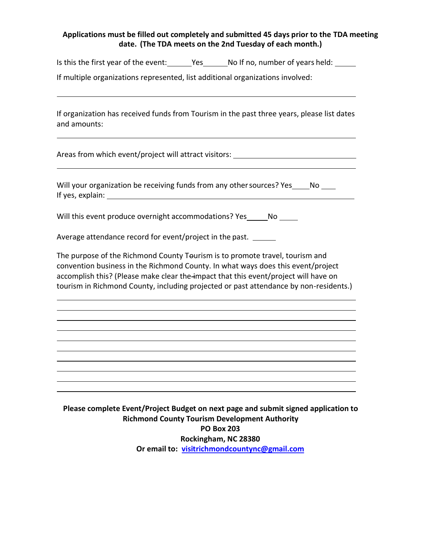#### **Applications must be filled out completely and submitted 45 days prior to the TDA meeting date. (The TDA meets on the 2nd Tuesday of each month.)**

Is this the first year of the event: Yes No If no, number of years held:

If multiple organizations represented, list additional organizations involved:

If organization has received funds from Tourism in the past three years, please list dates and amounts:

Areas from which event/project will attract visitors: \_\_\_\_\_\_\_\_\_\_\_\_\_\_\_\_\_\_\_\_\_\_\_\_\_\_

Will your organization be receiving funds from any other sources? Yes \_\_\_\_\_ No \_\_\_\_ If yes, explain:

Will this event produce overnight accommodations? Yes \_\_\_\_\_\_ No \_\_\_\_\_

Average attendance record for event/project in the past.

The purpose of the Richmond County Teurism is to promote travel, tourism and convention business in the Richmond County. In what ways does this event/project accomplish this? (Please make clear the impact that this event/project will have on tourism in Richmond County, including projected or past attendance by non-residents.)

**Please complete Event/Project Budget on next page and submit signed application to Richmond County Tourism Development Authority PO Box 203 Rockingham, NC 28380 Or email to: [visitrichmondcountync@gmail.com](mailto:visitrichmondcountync@gmail.com)**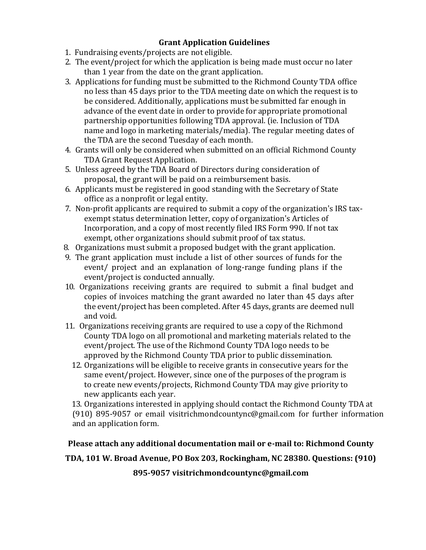## **Grant Application Guidelines**

- 1. Fundraising events/projects are not eligible.
- 2. The event/project for which the application is being made must occur no later than 1 year from the date on the grant application.
- 3. Applications for funding must be submitted to the Richmond County TDA office no less than 45 days prior to the TDA meeting date on which the request is to be considered. Additionally, applications must be submitted far enough in advance of the event date in order to provide for appropriate promotional partnership opportunities following TDA approval. (ie. Inclusion of TDA name and logo in marketing materials/media). The regular meeting dates of the TDA are the second Tuesday of each month.
- 4. Grants will only be considered when submitted on an official Richmond County TDA Grant Request Application.
- 5. Unless agreed by the TDA Board of Directors during consideration of proposal, the grant will be paid on a reimbursement basis.
- 6. Applicants must be registered in good standing with the Secretary of State office as a nonprofit or legal entity.
- 7. Non-profit applicants are required to submit a copy of the organization's IRS taxexempt status determination letter, copy of organization's Articles of Incorporation, and a copy of most recently filed IRS Form 990. If not tax exempt, other organizations should submit proof of tax status.
- 8. Organizations must submit a proposed budget with the grant application.
- 9. The grant application must include a list of other sources of funds for the event/ project and an explanation of long-range funding plans if the event/project is conducted annually.
- 10. Organizations receiving grants are required to submit a final budget and copies of invoices matching the grant awarded no later than 45 days after the event/project has been completed. After 45 days, grants are deemed null and void.
- 11. Organizations receiving grants are required to use a copy of the Richmond County TDA logo on all promotional and marketing materials related to the event/project. The use of the Richmond County TDA logo needs to be approved by the Richmond County TDA prior to public dissemination.
	- 12. Organizations will be eligible to receive grants in consecutive years for the same event/project. However, since one of the purposes of the program is to create new events/projects, Richmond County TDA may give priority to new applicants each year.

13. Organizations interested in applying should contact the Richmond County TDA at (910) 895-9057 or email visitrichmondcountync@gmail.com for further information and an application form.

### **Please attach any additional documentation mail or e-mail to: Richmond County**

## **TDA, 101 W. Broad Avenue, PO Box 203, Rockingham, NC 28380. Questions: (910)**

**895-9057 visitrichmondcountync@gmail.com**